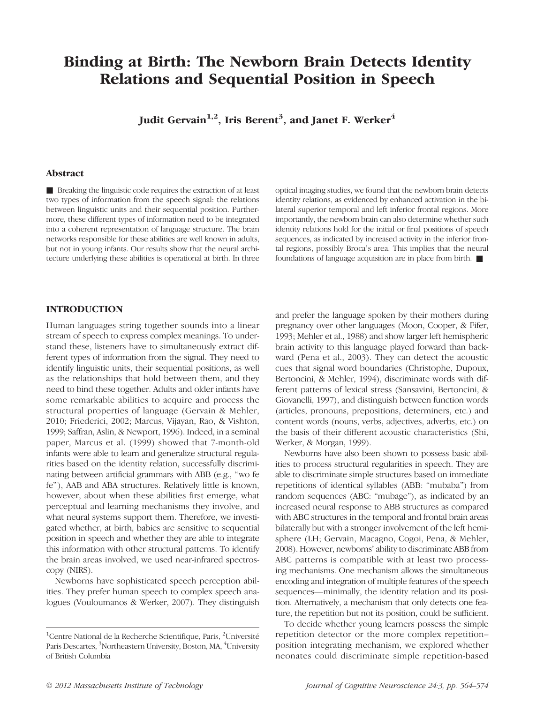# Binding at Birth: The Newborn Brain Detects Identity Relations and Sequential Position in Speech

Judit Gervain $^{1,2}$ , Iris Berent $^3$ , and Janet F. Werker $^4$ 

# Abstract

■ Breaking the linguistic code requires the extraction of at least two types of information from the speech signal: the relations between linguistic units and their sequential position. Furthermore, these different types of information need to be integrated into a coherent representation of language structure. The brain networks responsible for these abilities are well known in adults, but not in young infants. Our results show that the neural architecture underlying these abilities is operational at birth. In three

optical imaging studies, we found that the newborn brain detects identity relations, as evidenced by enhanced activation in the bilateral superior temporal and left inferior frontal regions. More importantly, the newborn brain can also determine whether such identity relations hold for the initial or final positions of speech sequences, as indicated by increased activity in the inferior frontal regions, possibly Broca's area. This implies that the neural foundations of language acquisition are in place from birth. ■

# INTRODUCTION

Human languages string together sounds into a linear stream of speech to express complex meanings. To understand these, listeners have to simultaneously extract different types of information from the signal. They need to identify linguistic units, their sequential positions, as well as the relationships that hold between them, and they need to bind these together. Adults and older infants have some remarkable abilities to acquire and process the structural properties of language (Gervain & Mehler, 2010; Friederici, 2002; Marcus, Vijayan, Rao, & Vishton, 1999; Saffran, Aslin, & Newport, 1996). Indeed, in a seminal paper, Marcus et al. (1999) showed that 7-month-old infants were able to learn and generalize structural regularities based on the identity relation, successfully discriminating between artificial grammars with ABB (e.g., "wo fe fe"), AAB and ABA structures. Relatively little is known, however, about when these abilities first emerge, what perceptual and learning mechanisms they involve, and what neural systems support them. Therefore, we investigated whether, at birth, babies are sensitive to sequential position in speech and whether they are able to integrate this information with other structural patterns. To identify the brain areas involved, we used near-infrared spectroscopy (NIRS).

Newborns have sophisticated speech perception abilities. They prefer human speech to complex speech analogues (Vouloumanos & Werker, 2007). They distinguish and prefer the language spoken by their mothers during pregnancy over other languages (Moon, Cooper, & Fifer, 1993; Mehler et al., 1988) and show larger left hemispheric brain activity to this language played forward than backward (Pena et al., 2003). They can detect the acoustic cues that signal word boundaries (Christophe, Dupoux, Bertoncini, & Mehler, 1994), discriminate words with different patterns of lexical stress (Sansavini, Bertoncini, & Giovanelli, 1997), and distinguish between function words (articles, pronouns, prepositions, determiners, etc.) and content words (nouns, verbs, adjectives, adverbs, etc.) on the basis of their different acoustic characteristics (Shi, Werker, & Morgan, 1999).

Newborns have also been shown to possess basic abilities to process structural regularities in speech. They are able to discriminate simple structures based on immediate repetitions of identical syllables (ABB: "mubaba") from random sequences (ABC: "mubage"), as indicated by an increased neural response to ABB structures as compared with ABC structures in the temporal and frontal brain areas bilaterally but with a stronger involvement of the left hemisphere (LH; Gervain, Macagno, Cogoi, Pena, & Mehler, 2008). However, newborns' ability to discriminate ABB from ABC patterns is compatible with at least two processing mechanisms. One mechanism allows the simultaneous encoding and integration of multiple features of the speech sequences—minimally, the identity relation and its position. Alternatively, a mechanism that only detects one feature, the repetition but not its position, could be sufficient.

To decide whether young learners possess the simple repetition detector or the more complex repetition– position integrating mechanism, we explored whether neonates could discriminate simple repetition-based

<sup>&</sup>lt;sup>1</sup>Centre National de la Recherche Scientifique, Paris, <sup>2</sup>Université Paris Descartes, <sup>3</sup>Northeastern University, Boston, MA, <sup>4</sup>University of British Columbia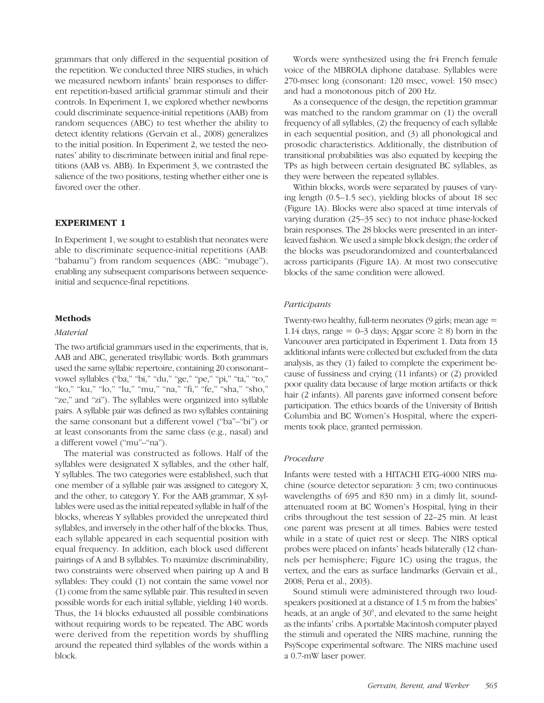grammars that only differed in the sequential position of the repetition. We conducted three NIRS studies, in which we measured newborn infants' brain responses to different repetition-based artificial grammar stimuli and their controls. In Experiment 1, we explored whether newborns could discriminate sequence-initial repetitions (AAB) from random sequences (ABC) to test whether the ability to detect identity relations (Gervain et al., 2008) generalizes to the initial position. In Experiment 2, we tested the neonates' ability to discriminate between initial and final repetitions (AAB vs. ABB). In Experiment 3, we contrasted the salience of the two positions, testing whether either one is favored over the other.

# EXPERIMENT 1

In Experiment 1, we sought to establish that neonates were able to discriminate sequence-initial repetitions (AAB: "babamu") from random sequences (ABC: "mubage"), enabling any subsequent comparisons between sequenceinitial and sequence-final repetitions.

# Methods

#### Material

The two artificial grammars used in the experiments, that is, AAB and ABC, generated trisyllabic words. Both grammars used the same syllabic repertoire, containing 20 consonant– vowel syllables ("ba," "bi," "du," "ge," "pe," "pi," "ta," "to," "ko," "ku," "lo," "lu," "mu," "na," "fi," "fe," "sha," "sho," "ze," and "zi"). The syllables were organized into syllable pairs. A syllable pair was defined as two syllables containing the same consonant but a different vowel ("ba"–"bi") or at least consonants from the same class (e.g., nasal) and a different vowel ("mu"–"na").

The material was constructed as follows. Half of the syllables were designated X syllables, and the other half, Y syllables. The two categories were established, such that one member of a syllable pair was assigned to category X, and the other, to category Y. For the AAB grammar, X syllables were used as the initial repeated syllable in half of the blocks, whereas Y syllables provided the unrepeated third syllables, and inversely in the other half of the blocks. Thus, each syllable appeared in each sequential position with equal frequency. In addition, each block used different pairings of A and B syllables. To maximize discriminability, two constraints were observed when pairing up A and B syllables: They could (1) not contain the same vowel nor (1) come from the same syllable pair. This resulted in seven possible words for each initial syllable, yielding 140 words. Thus, the 14 blocks exhausted all possible combinations without requiring words to be repeated. The ABC words were derived from the repetition words by shuffling around the repeated third syllables of the words within a block.

Words were synthesized using the fr4 French female voice of the MBROLA diphone database. Syllables were 270-msec long (consonant: 120 msec, vowel: 150 msec) and had a monotonous pitch of 200 Hz.

As a consequence of the design, the repetition grammar was matched to the random grammar on (1) the overall frequency of all syllables, (2) the frequency of each syllable in each sequential position, and (3) all phonological and prosodic characteristics. Additionally, the distribution of transitional probabilities was also equated by keeping the TPs as high between certain designated BC syllables, as they were between the repeated syllables.

Within blocks, words were separated by pauses of varying length (0.5–1.5 sec), yielding blocks of about 18 sec (Figure 1A). Blocks were also spaced at time intervals of varying duration (25–35 sec) to not induce phase-locked brain responses. The 28 blocks were presented in an interleaved fashion. We used a simple block design; the order of the blocks was pseudorandomized and counterbalanced across participants (Figure 1A). At most two consecutive blocks of the same condition were allowed.

#### Participants

Twenty-two healthy, full-term neonates (9 girls; mean age = 1.14 days, range = 0–3 days; Apgar score  $\geq$  8) born in the Vancouver area participated in Experiment 1. Data from 13 additional infants were collected but excluded from the data analysis, as they (1) failed to complete the experiment because of fussiness and crying (11 infants) or (2) provided poor quality data because of large motion artifacts or thick hair (2 infants). All parents gave informed consent before participation. The ethics boards of the University of British Columbia and BC Women's Hospital, where the experiments took place, granted permission.

# Procedure

Infants were tested with a HITACHI ETG-4000 NIRS machine (source detector separation: 3 cm; two continuous wavelengths of 695 and 830 nm) in a dimly lit, soundattenuated room at BC Women's Hospital, lying in their cribs throughout the test session of 22–25 min. At least one parent was present at all times. Babies were tested while in a state of quiet rest or sleep. The NIRS optical probes were placed on infants' heads bilaterally (12 channels per hemisphere; Figure 1C) using the tragus, the vertex, and the ears as surface landmarks (Gervain et al., 2008; Pena et al., 2003).

Sound stimuli were administered through two loudspeakers positioned at a distance of 1.5 m from the babies' heads, at an angle of 30°, and elevated to the same height as the infants' cribs. A portable Macintosh computer played the stimuli and operated the NIRS machine, running the PsyScope experimental software. The NIRS machine used a 0.7-mW laser power.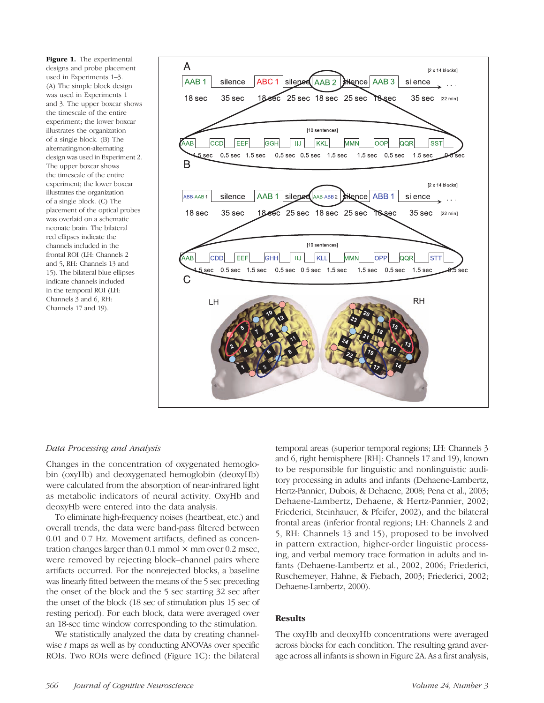Figure 1. The experimental designs and probe placement used in Experiments 1–3. (A) The simple block design was used in Experiments 1 and 3. The upper boxcar shows the timescale of the entire experiment; the lower boxcar illustrates the organization of a single block. (B) The alternating/non-alternating design was used in Experiment 2. The upper boxcar shows the timescale of the entire experiment; the lower boxcar illustrates the organization of a single block. (C) The placement of the optical probes was overlaid on a schematic neonate brain. The bilateral red ellipses indicate the channels included in the frontal ROI (LH: Channels 2 and 5, RH: Channels 13 and 15). The bilateral blue ellipses indicate channels included in the temporal ROI (LH: Channels 3 and 6, RH: Channels 17 and 19).



# Data Processing and Analysis

Changes in the concentration of oxygenated hemoglobin (oxyHb) and deoxygenated hemoglobin (deoxyHb) were calculated from the absorption of near-infrared light as metabolic indicators of neural activity. OxyHb and deoxyHb were entered into the data analysis.

To eliminate high-frequency noises (heartbeat, etc.) and overall trends, the data were band-pass filtered between 0.01 and 0.7 Hz. Movement artifacts, defined as concentration changes larger than  $0.1$  mmol  $\times$  mm over  $0.2$  msec, were removed by rejecting block–channel pairs where artifacts occurred. For the nonrejected blocks, a baseline was linearly fitted between the means of the 5 sec preceding the onset of the block and the 5 sec starting 32 sec after the onset of the block (18 sec of stimulation plus 15 sec of resting period). For each block, data were averaged over an 18-sec time window corresponding to the stimulation.

We statistically analyzed the data by creating channelwise t maps as well as by conducting ANOVAs over specific ROIs. Two ROIs were defined (Figure 1C): the bilateral temporal areas (superior temporal regions; LH: Channels 3 and 6, right hemisphere [RH]: Channels 17 and 19), known to be responsible for linguistic and nonlinguistic auditory processing in adults and infants (Dehaene-Lambertz, Hertz-Pannier, Dubois, & Dehaene, 2008; Pena et al., 2003; Dehaene-Lambertz, Dehaene, & Hertz-Pannier, 2002; Friederici, Steinhauer, & Pfeifer, 2002), and the bilateral frontal areas (inferior frontal regions; LH: Channels 2 and 5, RH: Channels 13 and 15), proposed to be involved in pattern extraction, higher-order linguistic processing, and verbal memory trace formation in adults and infants (Dehaene-Lambertz et al., 2002, 2006; Friederici, Ruschemeyer, Hahne, & Fiebach, 2003; Friederici, 2002; Dehaene-Lambertz, 2000).

# **Results**

The oxyHb and deoxyHb concentrations were averaged across blocks for each condition. The resulting grand average across all infants is shown in Figure 2A. As a first analysis,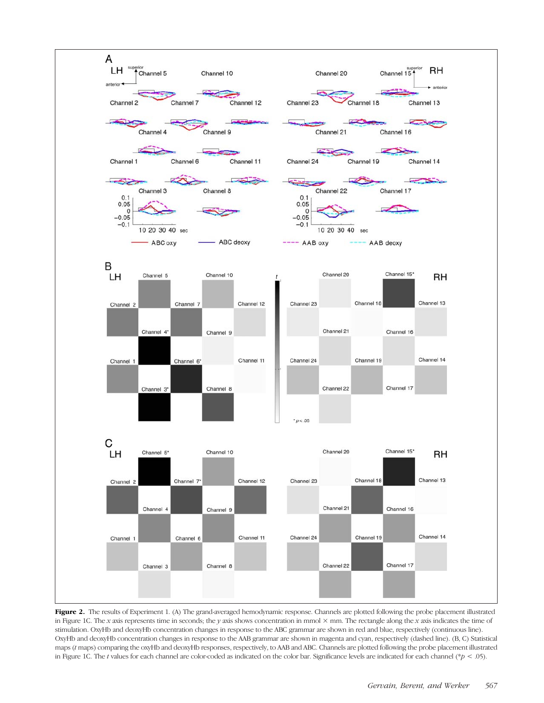

Figure 2. The results of Experiment 1. (A) The grand-averaged hemodynamic response. Channels are plotted following the probe placement illustrated in Figure 1C. The x axis represents time in seconds; the y axis shows concentration in mmol  $\times$  mm. The rectangle along the x axis indicates the time of stimulation. OxyHb and deoxyHb concentration changes in response to the ABC grammar are shown in red and blue, respectively (continuous line). OxyHb and deoxyHb concentration changes in response to the AAB grammar are shown in magenta and cyan, respectively (dashed line). (B, C) Statistical maps (t maps) comparing the oxyHb and deoxyHb responses, respectively, to AAB and ABC. Channels are plotted following the probe placement illustrated in Figure 1C. The t values for each channel are color-coded as indicated on the color bar. Significance levels are indicated for each channel (\*p < .05).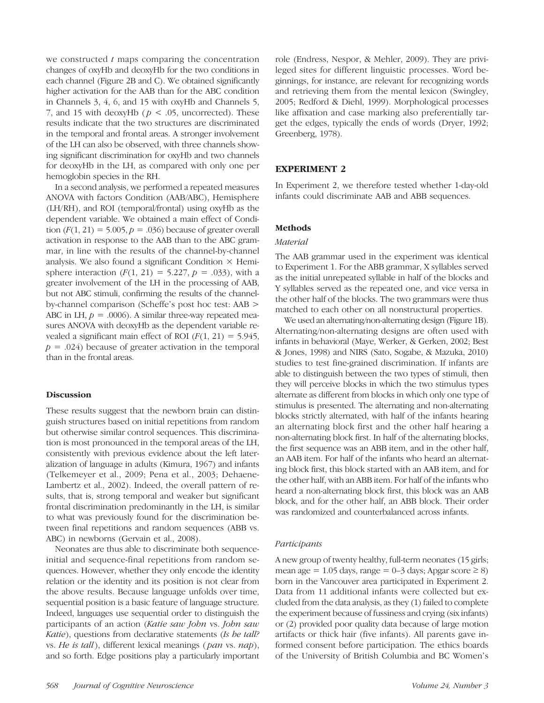we constructed  $t$  maps comparing the concentration changes of oxyHb and deoxyHb for the two conditions in each channel (Figure 2B and C). We obtained significantly higher activation for the AAB than for the ABC condition in Channels 3, 4, 6, and 15 with oxyHb and Channels 5, 7, and 15 with deoxyHb ( $p < .05$ , uncorrected). These results indicate that the two structures are discriminated in the temporal and frontal areas. A stronger involvement of the LH can also be observed, with three channels showing significant discrimination for oxyHb and two channels for deoxyHb in the LH, as compared with only one per hemoglobin species in the RH.

In a second analysis, we performed a repeated measures ANOVA with factors Condition (AAB/ABC), Hemisphere (LH/RH), and ROI (temporal/frontal) using oxyHb as the dependent variable. We obtained a main effect of Condition  $(F(1, 21) = 5.005, p = .036)$  because of greater overall activation in response to the AAB than to the ABC grammar, in line with the results of the channel-by-channel analysis. We also found a significant Condition  $\times$  Hemisphere interaction  $(F(1, 21) = 5.227, p = .033)$ , with a greater involvement of the LH in the processing of AAB, but not ABC stimuli, confirming the results of the channelby-channel comparison (Scheffe's post hoc test: AAB > ABC in LH,  $p = .0006$ ). A similar three-way repeated measures ANOVA with deoxyHb as the dependent variable revealed a significant main effect of ROI  $(F(1, 21) = 5.945,$  $p = .024$ ) because of greater activation in the temporal than in the frontal areas.

# Discussion

These results suggest that the newborn brain can distinguish structures based on initial repetitions from random but otherwise similar control sequences. This discrimination is most pronounced in the temporal areas of the LH, consistently with previous evidence about the left lateralization of language in adults (Kimura, 1967) and infants (Telkemeyer et al., 2009; Pena et al., 2003; Dehaene-Lambertz et al., 2002). Indeed, the overall pattern of results, that is, strong temporal and weaker but significant frontal discrimination predominantly in the LH, is similar to what was previously found for the discrimination between final repetitions and random sequences (ABB vs. ABC) in newborns (Gervain et al., 2008).

Neonates are thus able to discriminate both sequenceinitial and sequence-final repetitions from random sequences. However, whether they only encode the identity relation or the identity and its position is not clear from the above results. Because language unfolds over time, sequential position is a basic feature of language structure. Indeed, languages use sequential order to distinguish the participants of an action (Katie saw John vs. John saw Katie), questions from declarative statements (Is he tall? vs. He is tall), different lexical meanings (pan vs. nap), and so forth. Edge positions play a particularly important role (Endress, Nespor, & Mehler, 2009). They are privileged sites for different linguistic processes. Word beginnings, for instance, are relevant for recognizing words and retrieving them from the mental lexicon (Swingley, 2005; Redford & Diehl, 1999). Morphological processes like affixation and case marking also preferentially target the edges, typically the ends of words (Dryer, 1992; Greenberg, 1978).

# EXPERIMENT 2

In Experiment 2, we therefore tested whether 1-day-old infants could discriminate AAB and ABB sequences.

# Methods

# Material

The AAB grammar used in the experiment was identical to Experiment 1. For the ABB grammar, X syllables served as the initial unrepeated syllable in half of the blocks and Y syllables served as the repeated one, and vice versa in the other half of the blocks. The two grammars were thus matched to each other on all nonstructural properties.

We used an alternating/non-alternating design (Figure 1B). Alternating/non-alternating designs are often used with infants in behavioral (Maye, Werker, & Gerken, 2002; Best & Jones, 1998) and NIRS (Sato, Sogabe, & Mazuka, 2010) studies to test fine-grained discrimination. If infants are able to distinguish between the two types of stimuli, then they will perceive blocks in which the two stimulus types alternate as different from blocks in which only one type of stimulus is presented. The alternating and non-alternating blocks strictly alternated, with half of the infants hearing an alternating block first and the other half hearing a non-alternating block first. In half of the alternating blocks, the first sequence was an ABB item, and in the other half, an AAB item. For half of the infants who heard an alternating block first, this block started with an AAB item, and for the other half, with an ABB item. For half of the infants who heard a non-alternating block first, this block was an AAB block, and for the other half, an ABB block. Their order was randomized and counterbalanced across infants.

#### Participants

A new group of twenty healthy, full-term neonates (15 girls; mean age = 1.05 days, range =  $0-3$  days; Apgar score  $\geq 8$ ) born in the Vancouver area participated in Experiment 2. Data from 11 additional infants were collected but excluded from the data analysis, as they (1) failed to complete the experiment because of fussiness and crying (six infants) or (2) provided poor quality data because of large motion artifacts or thick hair (five infants). All parents gave informed consent before participation. The ethics boards of the University of British Columbia and BC Women's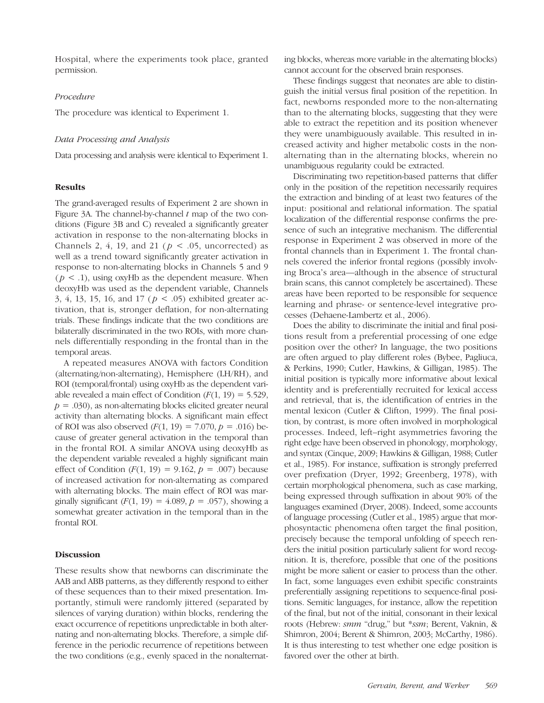Hospital, where the experiments took place, granted permission.

# Procedure

The procedure was identical to Experiment 1.

#### Data Processing and Analysis

Data processing and analysis were identical to Experiment 1.

#### Results

The grand-averaged results of Experiment 2 are shown in Figure 3A. The channel-by-channel  $t$  map of the two conditions (Figure 3B and C) revealed a significantly greater activation in response to the non-alternating blocks in Channels 2, 4, 19, and 21 ( $p < .05$ , uncorrected) as well as a trend toward significantly greater activation in response to non-alternating blocks in Channels 5 and 9  $(p < 0.1)$ , using oxyHb as the dependent measure. When deoxyHb was used as the dependent variable, Channels 3, 4, 13, 15, 16, and 17 ( $p < .05$ ) exhibited greater activation, that is, stronger deflation, for non-alternating trials. These findings indicate that the two conditions are bilaterally discriminated in the two ROIs, with more channels differentially responding in the frontal than in the temporal areas.

A repeated measures ANOVA with factors Condition (alternating/non-alternating), Hemisphere (LH/RH), and ROI (temporal/frontal) using oxyHb as the dependent variable revealed a main effect of Condition  $(F(1, 19) = 5.529)$ ,  $p = .030$ , as non-alternating blocks elicited greater neural activity than alternating blocks. A significant main effect of ROI was also observed  $(F(1, 19) = 7.070, p = .016)$  because of greater general activation in the temporal than in the frontal ROI. A similar ANOVA using deoxyHb as the dependent variable revealed a highly significant main effect of Condition  $(F(1, 19) = 9.162, p = .007)$  because of increased activation for non-alternating as compared with alternating blocks. The main effect of ROI was marginally significant  $(F(1, 19) = 4.089, p = .057)$ , showing a somewhat greater activation in the temporal than in the frontal ROI.

#### Discussion

These results show that newborns can discriminate the AAB and ABB patterns, as they differently respond to either of these sequences than to their mixed presentation. Importantly, stimuli were randomly jittered (separated by silences of varying duration) within blocks, rendering the exact occurrence of repetitions unpredictable in both alternating and non-alternating blocks. Therefore, a simple difference in the periodic recurrence of repetitions between the two conditions (e.g., evenly spaced in the nonalternating blocks, whereas more variable in the alternating blocks) cannot account for the observed brain responses.

These findings suggest that neonates are able to distinguish the initial versus final position of the repetition. In fact, newborns responded more to the non-alternating than to the alternating blocks, suggesting that they were able to extract the repetition and its position whenever they were unambiguously available. This resulted in increased activity and higher metabolic costs in the nonalternating than in the alternating blocks, wherein no unambiguous regularity could be extracted.

Discriminating two repetition-based patterns that differ only in the position of the repetition necessarily requires the extraction and binding of at least two features of the input: positional and relational information. The spatial localization of the differential response confirms the presence of such an integrative mechanism. The differential response in Experiment 2 was observed in more of the frontal channels than in Experiment 1. The frontal channels covered the inferior frontal regions (possibly involving Broca's area—although in the absence of structural brain scans, this cannot completely be ascertained). These areas have been reported to be responsible for sequence learning and phrase- or sentence-level integrative processes (Dehaene-Lambertz et al., 2006).

Does the ability to discriminate the initial and final positions result from a preferential processing of one edge position over the other? In language, the two positions are often argued to play different roles (Bybee, Pagliuca, & Perkins, 1990; Cutler, Hawkins, & Gilligan, 1985). The initial position is typically more informative about lexical identity and is preferentially recruited for lexical access and retrieval, that is, the identification of entries in the mental lexicon (Cutler & Clifton, 1999). The final position, by contrast, is more often involved in morphological processes. Indeed, left–right asymmetries favoring the right edge have been observed in phonology, morphology, and syntax (Cinque, 2009; Hawkins & Gilligan, 1988; Cutler et al., 1985). For instance, suffixation is strongly preferred over prefixation (Dryer, 1992; Greenberg, 1978), with certain morphological phenomena, such as case marking, being expressed through suffixation in about 90% of the languages examined (Dryer, 2008). Indeed, some accounts of language processing (Cutler et al., 1985) argue that morphosyntactic phenomena often target the final position, precisely because the temporal unfolding of speech renders the initial position particularly salient for word recognition. It is, therefore, possible that one of the positions might be more salient or easier to process than the other. In fact, some languages even exhibit specific constraints preferentially assigning repetitions to sequence-final positions. Semitic languages, for instance, allow the repetition of the final, but not of the initial, consonant in their lexical roots (Hebrew: smm "drug," but \*ssm; Berent, Vaknin, & Shimron, 2004; Berent & Shimron, 2003; McCarthy, 1986). It is thus interesting to test whether one edge position is favored over the other at birth.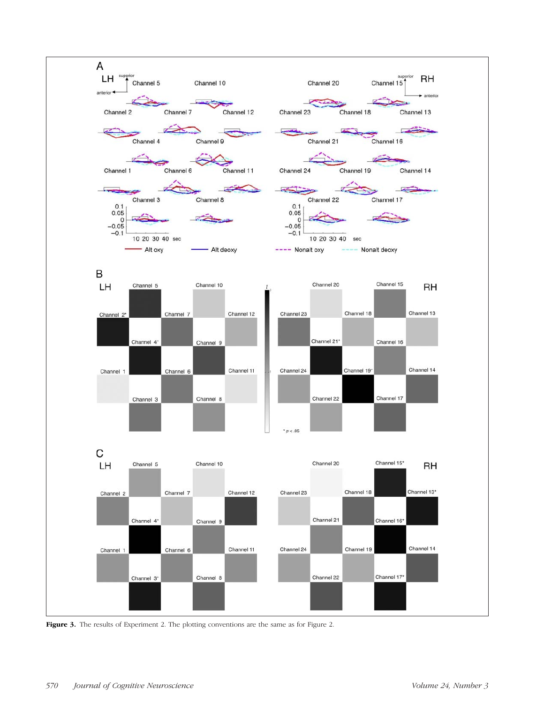

Figure 3. The results of Experiment 2. The plotting conventions are the same as for Figure 2.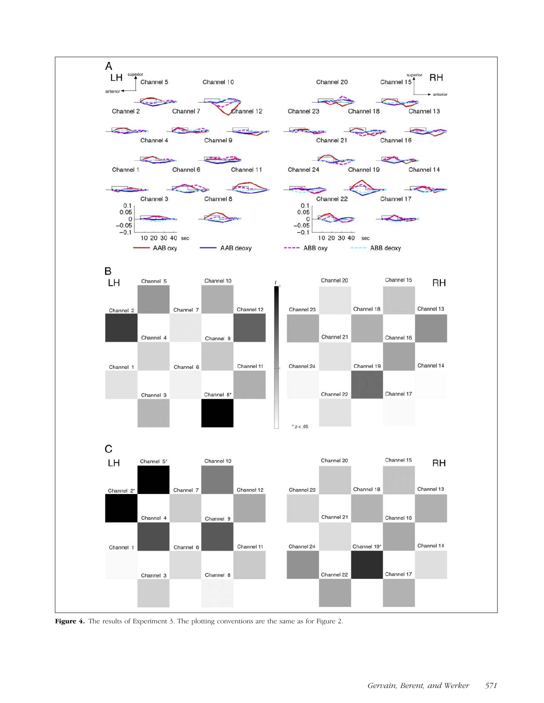

Figure 4. The results of Experiment 3. The plotting conventions are the same as for Figure 2.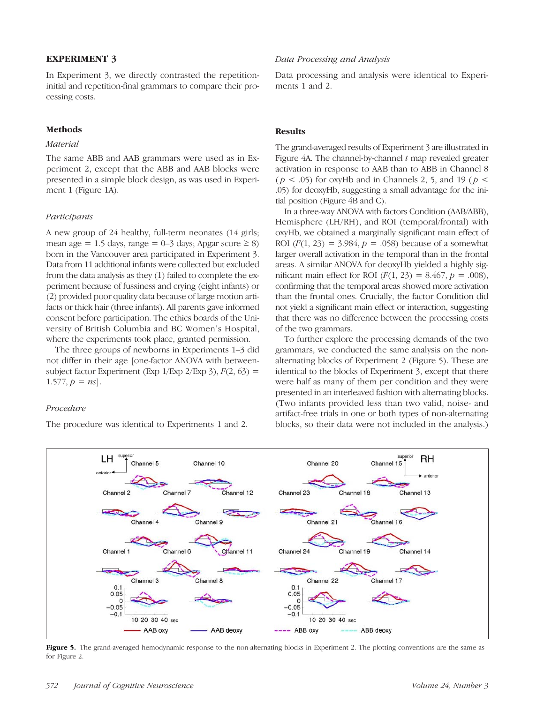# EXPERIMENT 3

In Experiment 3, we directly contrasted the repetitioninitial and repetition-final grammars to compare their processing costs.

## Methods

# Material

The same ABB and AAB grammars were used as in Experiment 2, except that the ABB and AAB blocks were presented in a simple block design, as was used in Experiment 1 (Figure 1A).

#### Participants

A new group of 24 healthy, full-term neonates (14 girls; mean age = 1.5 days, range = 0–3 days; Apgar score  $\geq$  8) born in the Vancouver area participated in Experiment 3. Data from 11 additional infants were collected but excluded from the data analysis as they (1) failed to complete the experiment because of fussiness and crying (eight infants) or (2) provided poor quality data because of large motion artifacts or thick hair (three infants). All parents gave informed consent before participation. The ethics boards of the University of British Columbia and BC Women's Hospital, where the experiments took place, granted permission.

The three groups of newborns in Experiments 1–3 did not differ in their age [one-factor ANOVA with betweensubject factor Experiment (Exp  $1$ /Exp  $2$ /Exp 3),  $F(2, 63)$  = 1.577,  $p = ns$ .

# Procedure

The procedure was identical to Experiments 1 and 2.

# Data Processing and Analysis

Data processing and analysis were identical to Experiments 1 and 2.

#### **Results**

The grand-averaged results of Experiment 3 are illustrated in Figure 4A. The channel-by-channel  $t$  map revealed greater activation in response to AAB than to ABB in Channel 8 ( $p < .05$ ) for oxyHb and in Channels 2, 5, and 19 ( $p <$ .05) for deoxyHb, suggesting a small advantage for the initial position (Figure 4B and C).

In a three-way ANOVA with factors Condition (AAB/ABB), Hemisphere (LH/RH), and ROI (temporal/frontal) with oxyHb, we obtained a marginally significant main effect of ROI  $(F(1, 23) = 3.984, p = .058)$  because of a somewhat larger overall activation in the temporal than in the frontal areas. A similar ANOVA for deoxyHb yielded a highly significant main effect for ROI  $(F(1, 23) = 8.467, p = .008)$ , confirming that the temporal areas showed more activation than the frontal ones. Crucially, the factor Condition did not yield a significant main effect or interaction, suggesting that there was no difference between the processing costs of the two grammars.

To further explore the processing demands of the two grammars, we conducted the same analysis on the nonalternating blocks of Experiment 2 (Figure 5). These are identical to the blocks of Experiment 3, except that there were half as many of them per condition and they were presented in an interleaved fashion with alternating blocks. (Two infants provided less than two valid, noise- and artifact-free trials in one or both types of non-alternating blocks, so their data were not included in the analysis.)



Figure 5. The grand-averaged hemodynamic response to the non-alternating blocks in Experiment 2. The plotting conventions are the same as for Figure 2.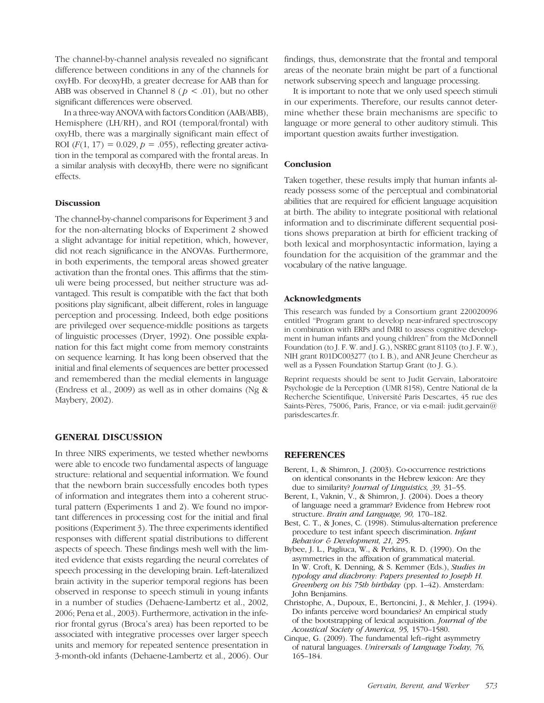The channel-by-channel analysis revealed no significant difference between conditions in any of the channels for oxyHb. For deoxyHb, a greater decrease for AAB than for ABB was observed in Channel 8 ( $p < .01$ ), but no other significant differences were observed.

In a three-way ANOVA with factors Condition (AAB/ABB), Hemisphere (LH/RH), and ROI (temporal/frontal) with oxyHb, there was a marginally significant main effect of ROI  $(F(1, 17) = 0.029, p = .055)$ , reflecting greater activation in the temporal as compared with the frontal areas. In a similar analysis with deoxyHb, there were no significant effects.

# **Discussion**

The channel-by-channel comparisons for Experiment 3 and for the non-alternating blocks of Experiment 2 showed a slight advantage for initial repetition, which, however, did not reach significance in the ANOVAs. Furthermore, in both experiments, the temporal areas showed greater activation than the frontal ones. This affirms that the stimuli were being processed, but neither structure was advantaged. This result is compatible with the fact that both positions play significant, albeit different, roles in language perception and processing. Indeed, both edge positions are privileged over sequence-middle positions as targets of linguistic processes (Dryer, 1992). One possible explanation for this fact might come from memory constraints on sequence learning. It has long been observed that the initial and final elements of sequences are better processed and remembered than the medial elements in language (Endress et al., 2009) as well as in other domains (Ng & Maybery, 2002).

# GENERAL DISCUSSION

In three NIRS experiments, we tested whether newborns were able to encode two fundamental aspects of language structure: relational and sequential information. We found that the newborn brain successfully encodes both types of information and integrates them into a coherent structural pattern (Experiments 1 and 2). We found no important differences in processing cost for the initial and final positions (Experiment 3). The three experiments identified responses with different spatial distributions to different aspects of speech. These findings mesh well with the limited evidence that exists regarding the neural correlates of speech processing in the developing brain. Left-lateralized brain activity in the superior temporal regions has been observed in response to speech stimuli in young infants in a number of studies (Dehaene-Lambertz et al., 2002, 2006; Pena et al., 2003). Furthermore, activation in the inferior frontal gyrus (Broca's area) has been reported to be associated with integrative processes over larger speech units and memory for repeated sentence presentation in 3-month-old infants (Dehaene-Lambertz et al., 2006). Our

findings, thus, demonstrate that the frontal and temporal areas of the neonate brain might be part of a functional network subserving speech and language processing.

It is important to note that we only used speech stimuli in our experiments. Therefore, our results cannot determine whether these brain mechanisms are specific to language or more general to other auditory stimuli. This important question awaits further investigation.

### **Conclusion**

Taken together, these results imply that human infants already possess some of the perceptual and combinatorial abilities that are required for efficient language acquisition at birth. The ability to integrate positional with relational information and to discriminate different sequential positions shows preparation at birth for efficient tracking of both lexical and morphosyntactic information, laying a foundation for the acquisition of the grammar and the vocabulary of the native language.

#### Acknowledgments

This research was funded by a Consortium grant 220020096 entitled "Program grant to develop near-infrared spectroscopy in combination with ERPs and fMRI to assess cognitive development in human infants and young children" from the McDonnell Foundation (to J. F. W. and J. G.), NSREC grant 81103 (to J. F. W.), NIH grant R01DC003277 (to I. B.), and ANR Jeune Chercheur as well as a Fyssen Foundation Startup Grant (to J. G.).

Reprint requests should be sent to Judit Gervain, Laboratoire Psychologie de la Perception (UMR 8158), Centre National de la Recherche Scientifique, Université Paris Descartes, 45 rue des Saints-Pères, 75006, Paris, France, or via e-mail: judit.gervain@ parisdescartes.fr.

#### REFERENCES

- Berent, I., & Shimron, J. (2003). Co-occurrence restrictions on identical consonants in the Hebrew lexicon: Are they due to similarity? *Journal of Linguistics*, 39, 31-55.
- Berent, I., Vaknin, V., & Shimron, J. (2004). Does a theory of language need a grammar? Evidence from Hebrew root structure. Brain and Language, 90, 170–182.
- Best, C. T., & Jones, C. (1998). Stimulus-alternation preference procedure to test infant speech discrimination. Infant Behavior & Development, 21, 295.
- Bybee, J. L., Pagliuca, W., & Perkins, R. D. (1990). On the asymmetries in the affixation of grammatical material. In W. Croft, K. Denning, & S. Kemmer (Eds.), Studies in typology and diachrony: Papers presented to Joseph H. Greenberg on his 75th birthday (pp. 1-42). Amsterdam: John Benjamins.
- Christophe, A., Dupoux, E., Bertoncini, J., & Mehler, J. (1994). Do infants perceive word boundaries? An empirical study of the bootstrapping of lexical acquisition. Journal of the Acoustical Society of America, 95, 1570–1580.
- Cinque, G. (2009). The fundamental left–right asymmetry of natural languages. Universals of Language Today, 76, 165–184.